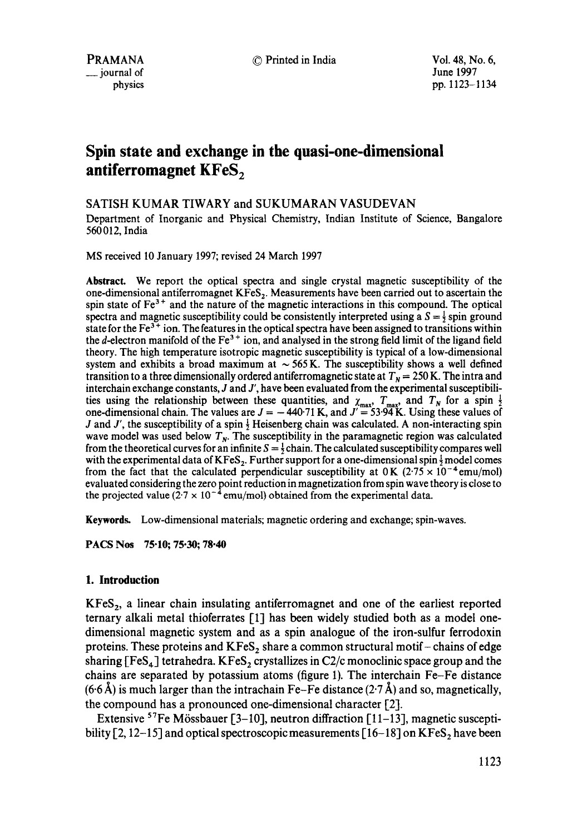© Printed in India Vol. 48, No. 6,

June 1997 pp. I123-1134

# **Spin state and exchange in the quasi-one-dimensional**  antiferromagnet KFeS<sub>2</sub>

# SATISH KUMAR TIWARY and SUKUMARAN VASUDEVAN

Department of Inorganic and Physical Chemistry, Indian Institute of Science, Bangalore 560 012, India

MS received 10 January 1997; revised 24 March 1997

**Abstract.** We report the optical spectra and single crystal magnetic susceptibility of the one-dimensional antiferromagnet  $KFes<sub>2</sub>$ . Measurements have been carried out to ascertain the spin state of  $Fe<sup>3+</sup>$  and the nature of the magnetic interactions in this compound. The optical spectra and magnetic susceptibility could be consistently interpreted using a  $S = \frac{1}{2}$  spin ground state for the  $Fe<sup>3+</sup>$  ion. The features in the optical spectra have been assigned to transitions within the d-electron manifold of the  $Fe<sup>3+</sup>$  ion, and analysed in the strong field limit of the ligand field theory. The high temperature isotropic magnetic susceptibility is typical of a low-dimensional system and exhibits a broad maximum at  $\sim$  565 K. The susceptibility shows a well defined transition to a three dimensionally ordered antiferromagnetic state at  $T<sub>N</sub> = 250$  K. The intra and interchain exchange constants, J and J', have been evaluated from the experimental susceptibilities using the relationship between these quantities, and  $\chi_{\text{max}}$ ,  $T_{\text{max}}$ , and  $T_N$  for a spin  $\frac{1}{2}$ one-dimensional chain. The values are  $J = -440.71$  K, and  $J' = 53.94$  K. Using these values of J and J', the susceptibility of a spin  $\frac{1}{2}$  Heisenberg chain was calculated. A non-interacting spin wave model was used below  $T<sub>N</sub>$ . The susceptibility in the paramagnetic region was calculated from the theoretical curves for an infinite  $S = \frac{1}{2}$  chain. The calculated susceptibility compares well with the experimental data of  $KFeS<sub>2</sub>$ . Further support for a one-dimensional spin  $\frac{1}{2}$  model comes from the fact that the calculated perpendicular susceptibility at  $0 \text{ K}$  (2.75  $\times$  10<sup>-4</sup> emu/mol) evaluated considering the zero point reduction in magnetization from spin wave theory is close to the projected value  $(2.7 \times 10^{-4}$  emu/mol) obtained from the experimental data.

**Keywords.** Low-dimensional materials; magnetic ordering and exchange; spin-waves.

**PACS Nos 75.10; 75.30; 78.40** 

# **1. Introduction**

 $KFs<sub>2</sub>$ , a linear chain insulating antiferromagnet and one of the earliest reported ternary alkali metal thioferrates [1] has been widely studied both as a model onedimensional magnetic system and as a spin analogue of the iron-sulfur ferrodoxin proteins. These proteins and  $KFeS<sub>2</sub>$  share a common structural motif-chains of edge sharing [FeS<sub>4</sub>] tetrahedra. KFeS<sub>2</sub> crystallizes in C2/c monoclinic space group and the chains are separated by potassium atoms (figure 1). The interchain Fe-Fe distance  $(6.6~\text{\AA})$  is much larger than the intrachain Fe-Fe distance (2.7 Å) and so, magnetically, the compound has a pronounced one-dimensional character [2].

Extensive <sup>57</sup>Fe Mössbauer [3-10], neutron diffraction [11-13], magnetic susceptibility [2, 12-15] and optical spectroscopic measurements [16-18] on  $KFs_2$  have been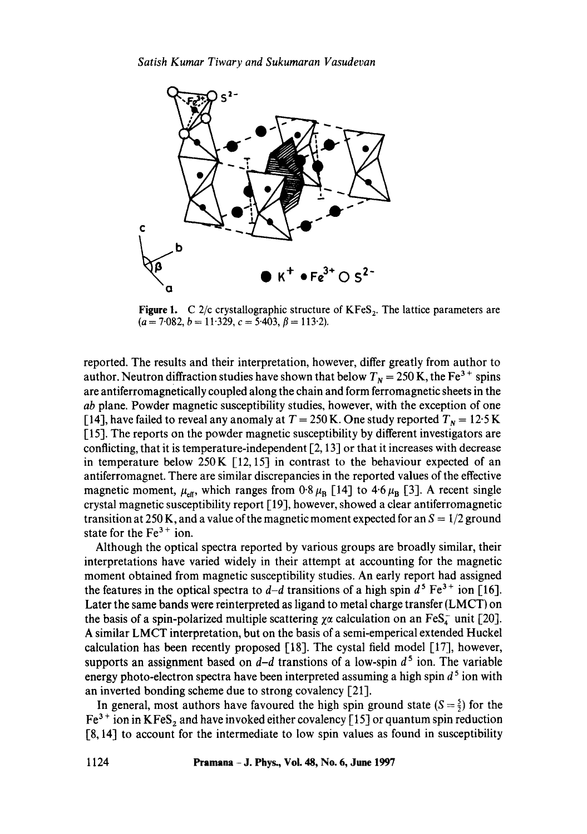

**Figure 1.** C 2/c crystallographic structure of KFeS<sub>2</sub>. The lattice parameters are  $(a = 7.082, b = 11.329, c = 5.403, \beta = 113.2).$ 

reported. The results and their interpretation, however, differ greatly from author to author. Neutron diffraction studies have shown that below  $T_N = 250$  K, the Fe<sup>3+</sup> spins are antiferromagnetically coupled along the chain and form ferromagnetic sheets in the *ab* plane. Powder magnetic susceptibility studies, however, with the exception of one [14], have failed to reveal any anomaly at  $T = 250$  K. One study reported  $T<sub>N</sub> = 12.5$  K [15]. The reports on the powder magnetic susceptibility by different investigators are conflicting, that it is temperature-independent  $[2, 13]$  or that it increases with decrease in temperature below 250 K  $\lceil 12, 15 \rceil$  in contrast to the behaviour expected of an antiferromagnet. There are similar discrepancies in the reported values of the effective magnetic moment,  $\mu_{\text{eff}}$ , which ranges from 0.8  $\mu_{\text{B}}$  [14] to 4.6  $\mu_{\text{B}}$  [3]. A recent single crystal magnetic susceptibility report [19], however, showed a clear antiferromagnetic transition at 250 K, and a value of the magnetic moment expected for an  $S = 1/2$  ground state for the  $Fe<sup>3+</sup>$  ion.

Although the optical spectra reported by various groups are broadly similar, their interpretations have varied widely in their attempt at accounting for the magnetic moment obtained from magnetic susceptibility studies. An early report had assigned the features in the optical spectra to  $d-d$  transitions of a high spin  $d^5 \text{Fe}^{3+}$  ion [16]. Later the same bands were reinterpreted as ligand to metal charge transfer (LMCT) on the basis of a spin-polarized multiple scattering  $\chi\alpha$  calculation on an FeS<sub>4</sub> unit [20]. A similar LMCT interpretation, but on the basis of a semi-emperical extended Huckel calculation has been recently proposed [18]. The cystal field model [17], however, supports an assignment based on  $d-d$  transtions of a low-spin  $d^5$  ion. The variable energy photo-electron spectra have been interpreted assuming a high spin  $d^5$  ion with an inverted bonding scheme due to strong covalency [21].

In general, most authors have favoured the high spin ground state  $(S = \frac{5}{2})$  for the  $Fe<sup>3+</sup>$  ion in KFeS<sub>2</sub> and have invoked either covalency [15] or quantum spin reduction [8, 14] to account for the intermediate to low spin values as found in susceptibility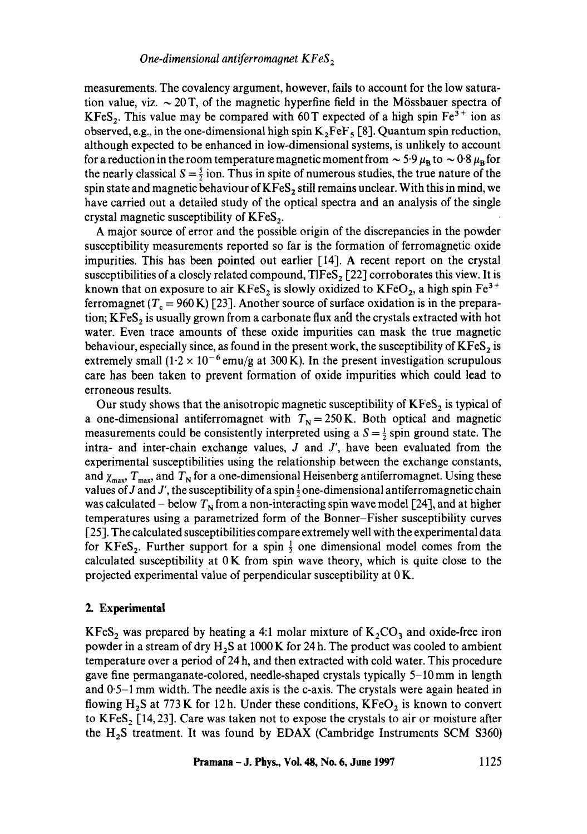measurements. The covalency argument, however, fails to account for the low saturation value, viz.  $\sim 20$  T, of the magnetic hyperfine field in the Mössbauer spectra of KFeS<sub>2</sub>. This value may be compared with 60 T expected of a high spin Fe<sup>3+</sup> ion as observed, e.g., in the one-dimensional high spin  $K_2FeF$ , [8]. Quantum spin reduction, although expected to be enhanced in low-dimensional systems, is unlikely to account for a reduction in the room temperature magnetic moment from  $\sim 5.9 \mu_B$  to  $\sim 0.8 \mu_B$  for the nearly classical  $S = \frac{5}{2}$  ion. Thus in spite of numerous studies, the true nature of the spin state and magnetic behaviour of  $KFeS<sub>2</sub>$  still remains unclear. With this in mind, we have carried out a detailed study of the optical spectra and an analysis of the single crystal magnetic susceptibility of  $KFes<sub>2</sub>$ .

A major source of error and the possible origin of the discrepancies in the powder susceptibility measurements reported so far is the formation of ferromagnetic oxide impurities. This has been pointed out earlier [14]. A recent report on the crystal susceptibilities of a closely related compound,  $TIFes<sub>2</sub>$  [22] corroborates this view. It is known that on exposure to air  $KFeS<sub>2</sub>$  is slowly oxidized to  $KFeO<sub>2</sub>$ , a high spin  $Fe<sup>3+</sup>$ ferromagnet ( $T_c = 960 \text{ K}$ ) [23]. Another source of surface oxidation is in the preparation;  $KFeS<sub>2</sub>$  is usually grown from a carbonate flux and the crystals extracted with hot water. Even trace amounts of these oxide impurities can mask the true magnetic behaviour, especially since, as found in the present work, the susceptibility of  $KFes_2$  is extremely small  $(1.2 \times 10^{-6}$  emu/g at 300 K). In the present investigation scrupulous care has been taken to prevent formation of oxide impurities which could lead to erroneous results.

Our study shows that the anisotropic magnetic susceptibility of  $KFs_2$  is typical of a one-dimensional antiferromagnet with  $T_N = 250$  K. Both optical and magnetic measurements could be consistently interpreted using a  $S = \frac{1}{2}$  spin ground state. The intra- and inter-chain exchange values,  $J$  and  $J'$ , have been evaluated from the experimental susceptibilities using the relationship between the exchange constants, and  $\chi_{\text{max}}$ ,  $T_{\text{max}}$ , and  $T_{\text{N}}$  for a one-dimensional Heisenberg antiferromagnet. Using these values of J and J', the susceptibility of a spin  $\frac{1}{2}$  one-dimensional antiferromagnetic chain was calculated – below  $T_N$  from a non-interacting spin wave model [24], and at higher temperatures using a parametrized form of the Bonner-Fisher susceptibility curves [25]. The calculated susceptibilities compare extremely well with the experimental data for KFeS<sub>2</sub>. Further support for a spin  $\frac{1}{2}$  one dimensional model comes from the calculated susceptibility at  $0K$  from spin wave theory, which is quite close to the projected experimental value of perpendicular susceptibility at 0 K.

## **2. Experimental**

 $KFeS<sub>2</sub>$  was prepared by heating a 4:1 molar mixture of  $K<sub>2</sub>CO<sub>3</sub>$  and oxide-free iron powder in a stream of dry  $H_2S$  at 1000 K for 24 h. The product was cooled to ambient temperature over a period of 24 h, and then extracted with cold water. This procedure gave fine permanganate-colored, needle-shaped crystals typically 5-10 mm in length and  $0.5-1$  mm width. The needle axis is the c-axis. The crystals were again heated in flowing H<sub>2</sub>S at 773 K for 12 h. Under these conditions,  $KFeO<sub>2</sub>$  is known to convert to KFeS,  $[14, 23]$ . Care was taken not to expose the crystals to air or moisture after the  $H_2S$  treatment. It was found by EDAX (Cambridge Instruments SCM S360)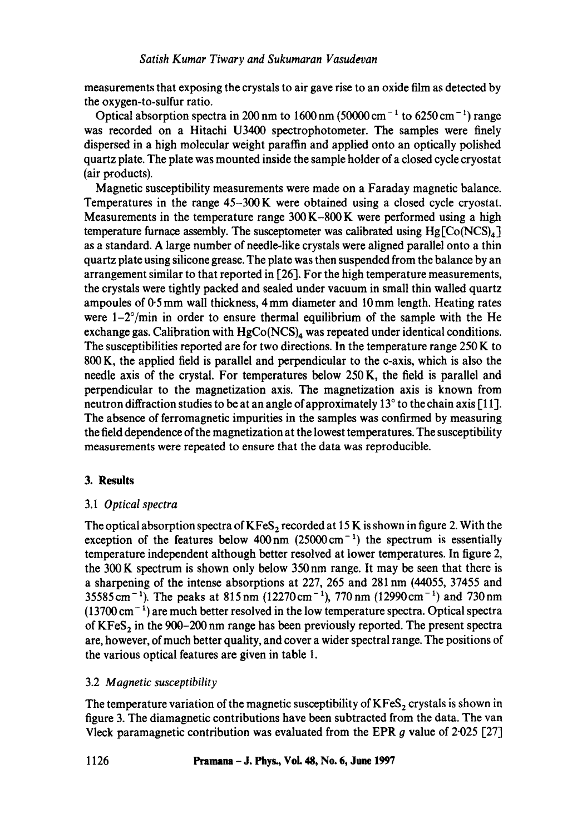measurements that exposing the crystals to air gave rise to an oxide film as detected by the oxygen-to-sulfur ratio.

Optical absorption spectra in 200 nm to 1600 nm (50000 cm<sup>-1</sup> to 6250 cm<sup>-1</sup>) range was recorded on a Hitachi U3400 spectrophotometer. The samples were finely dispersed in a high molecular weight paraffin and applied onto an optically polished quartz plate. The plate was mounted inside the sample holder of a closed cycle cryostat (air products).

Magnetic susceptibility measurements were made on a Faraday magnetic balance. Temperatures in the range 45-300 K were obtained using a dosed cycle cryostat. Measurements in the temperature range  $300 K-800 K$  were performed using a high temperature furnace assembly. The susceptometer was calibrated using  $Hg[Co(NCS)<sub>4</sub>]$ as a standard. A large number of needle-like crystals were aligned parallel onto a thin quartz plate using silicone grease. The plate was then suspended from the balance by an arrangement similar to that reported in [26]. For the high temperature measurements, the crystals were tightly packed and sealed under vacuum in small thin walled quartz ampoules of 0.5 mm wall thickness, 4 mm diameter and 10 mm length. Heating rates were  $1-2^{\circ}/\text{min}$  in order to ensure thermal equilibrium of the sample with the He exchange gas. Calibration with  $HgCo(NCS)<sub>4</sub>$  was repeated under identical conditions. The susceptibilities reported are for two directions. In the temperature range 250 K to 800 K, the applied field is parallel and perpendicular to the c-axis, which is also the needle axis of the crystal. For temperatures below 250 K, the field is parallel and perpendicular to the magnetization axis. The magnetization axis is known from neutron diffraction studies to be at an angle of approximately  $13^\circ$  to the chain axis [11]. The absence of ferromagnetic impurities in the samples was confirmed by measuring the field dependence of the magnetization at the lowest temperatures. The susceptibility measurements were repeated to ensure that the data was reproducible.

# **3. Results**

# 3.1 *Optical spectra*

The optical absorption spectra of  $KFeS<sub>2</sub>$  recorded at 15 K is shown in figure 2. With the exception of the features below  $400 \text{ nm}$  (25000 cm<sup>-1</sup>) the spectrum is essentially temperature independent although better resolved at lower temperatures. In figure 2, the 300 K spectrum is shown only below 350nm range. It may be seen that there is a sharpening of the intense absorptions at 227, 265 and 281 nm (44055, 37455 and  $35585 \text{ cm}^{-1}$ ). The peaks at  $815 \text{ nm}$  ( $12270 \text{ cm}^{-1}$ ),  $770 \text{ nm}$  ( $12990 \text{ cm}^{-1}$ ) and  $730 \text{ nm}$  $(13700 \text{ cm}^{-1})$  are much better resolved in the low temperature spectra. Optical spectra of  $KFes<sub>2</sub>$  in the 900-200 nm range has been previously reported. The present spectra are, however, of much better quality, and cover a wider spectral range. The positions of the various optical features are given in table 1.

# 3.2 *Magnetic susceptibility*

The temperature variation of the magnetic susceptibility of  $KFES<sub>2</sub>$  crystals is shown in figure 3. The diamagnetic contributions have been subtracted from the data. The van Vleck paramagnetic contribution was evaluated from the EPR  $g$  value of 2.025 [27]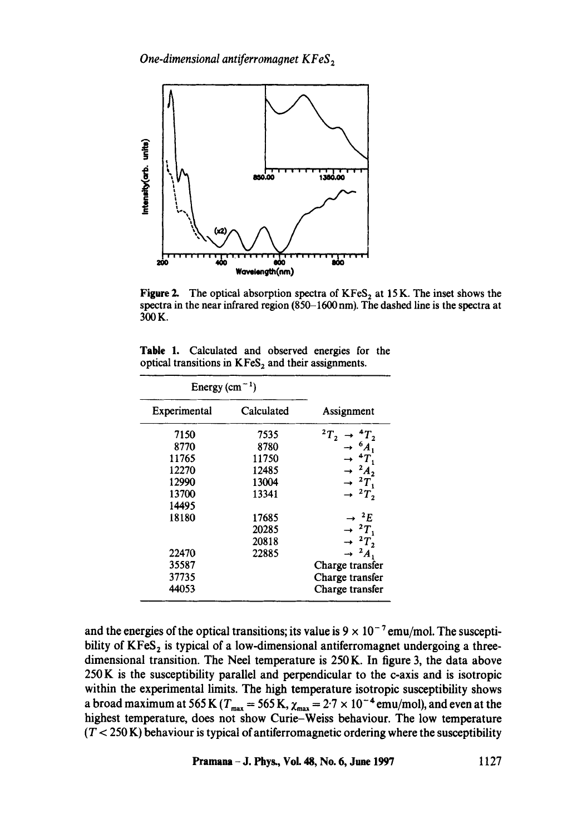

Figure 2. The optical absorption spectra of  $KFeS<sub>2</sub>$  at 15 K. The inset shows the spectra in the near infrared region (850-1600 nm). The dashed line is the spectra at 300K.

|  |  |  | Table 1. Calculated and observed energies for the      |  |
|--|--|--|--------------------------------------------------------|--|
|  |  |  | optical transitions in $KFes_2$ and their assignments. |  |

| Energy $(cm-1)$ |            |                                        |  |  |
|-----------------|------------|----------------------------------------|--|--|
| Experimental    | Calculated | Assignment                             |  |  |
| 7150            | 7535       | $^{2}T_{2}$<br>$\rightarrow$ ${}^4T_2$ |  |  |
| 8770            | 8780       | $\rightarrow$ $^{6}A_1$                |  |  |
| 11765           | 11750      | $\rightarrow$ ${}^4T_1$                |  |  |
| 12270           | 12485      | $\rightarrow$ $^2A_2$                  |  |  |
| 12990           | 13004      | $\rightarrow$ ${}^{2}T_{1}$            |  |  |
| 13700           | 13341      | $\rightarrow$ ${}^{2}T_{2}$            |  |  |
| 14495           |            |                                        |  |  |
| 18180           | 17685      | $\rightarrow$ $^{2}E$                  |  |  |
|                 | 20285      | $\rightarrow$ ${}^{2}T,$               |  |  |
|                 | 20818      | $\rightarrow$ $^{2}T_{2}$              |  |  |
| 22470           | 22885      | $\rightarrow$ $^{2}A_{1}$              |  |  |
| 35587           |            | Charge transfer                        |  |  |
| 37735           |            | Charge transfer                        |  |  |
| 44053           |            | Charge transfer                        |  |  |

and the energies of the optical transitions; its value is  $9 \times 10^{-7}$  emu/mol. The susceptibility of  $KFes<sub>2</sub>$  is typical of a low-dimensional antiferromagnet undergoing a threedimensional transition. The Neel temperature is 250 K. In figure 3, the data above 250 K is the susceptibility parallel and perpendicular to the c-axis and is isotropic within the experimental limits. The high temperature isotropic susceptibility shows a broad maximum at 565 K ( $T_{\text{max}} = 565$  K,  $\chi_{\text{max}} = 2.7 \times 10^{-4}$  emu/mol), and even at the highest temperature, does not show Curie-Weiss behaviour. The low temperature  $(T < 250 \text{ K})$  behaviour is typical of antiferromagnetic ordering where the susceptibility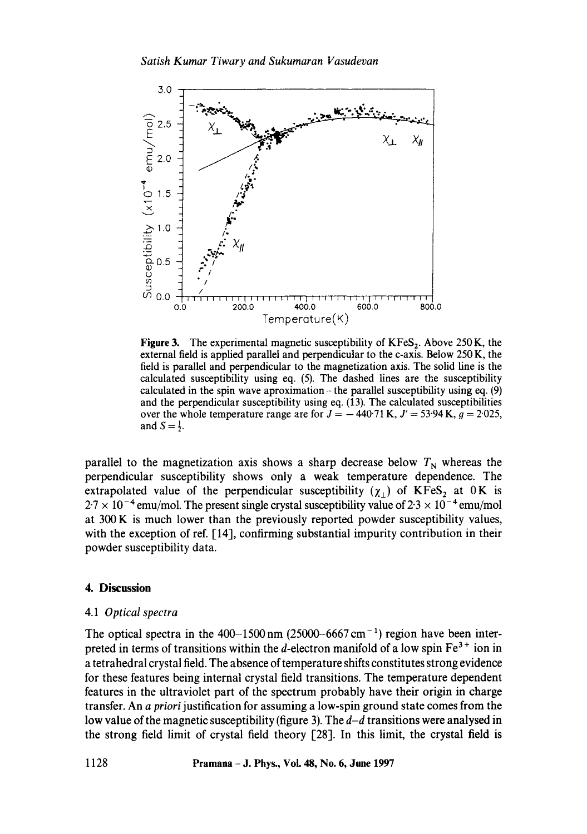

Figure 3. The experimental magnetic susceptibility of  $KFeS<sub>2</sub>$ . Above 250 K, the external field is applied parallel and perpendicular to the c-axis. Below 250 K, the field is parallel and perpendicular to the magnetization axis. The solid line is the calculated susceptibility using eq. (5). The dashed lines are the susceptibility calculated in the spin wave aproximation  $-$  the parallel susceptibility using eq. (9) and the perpendicular susceptibility using eq. (13). The calculated susceptibilities over the whole temperature range are for  $J = -440.71$  K,  $J' = 53.94$  K,  $q = 2.025$ , and  $S = \frac{1}{2}$ .

parallel to the magnetization axis shows a sharp decrease below  $T_N$  whereas the perpendicular susceptibility shows only a weak temperature dependence. The extrapolated value of the perpendicular susceptibility ( $\chi_1$ ) of KFeS<sub>2</sub> at OK is  $2.7 \times 10^{-4}$  emu/mol. The present single crystal susceptibility value of  $2.3 \times 10^{-4}$  emu/mol at 300 K is much lower than the previously reported powder susceptibility values, with the exception of ref. [14], confirming substantial impurity contribution in their powder susceptibility data.

#### **4. Discussion**

## 4.1 *Optical spectra*

The optical spectra in the 400-1500 nm (25000-6667 cm<sup>-1</sup>) region have been interpreted in terms of transitions within the *d*-electron manifold of a low spin  $Fe<sup>3+</sup>$  ion in a tetrahedral crystal field. The absence of temperature shifts constitutes strong evidence for these features being internal crystal field transitions. The temperature dependent features in the ultraviolet part of the spectrum probably have their origin in charge transfer. An *a priori* justification for assuming a low-spin ground state comes from the low value of the magnetic susceptibility (figure 3). The *d-d* transitions were analysed in the strong field limit of crystal field theory [28]. In this limit, the crystal field is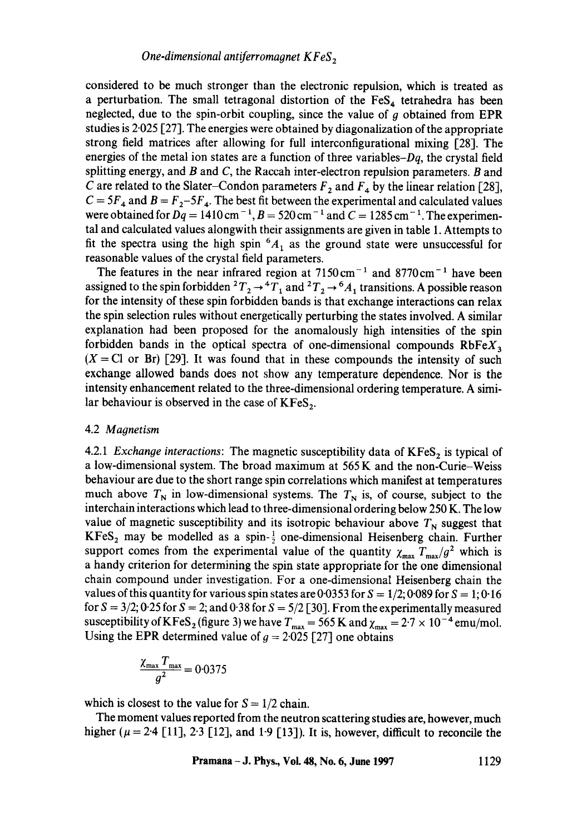considered to be much stronger than the electronic repulsion, which is treated as a perturbation. The small tetragonal distortion of the  $\text{FeS}_4$  tetrahedra has been neglected, due to the spin-orbit coupling, since the value of  $g$  obtained from EPR studies is 2.025 [27]. The energies were obtained by diagonalization of the appropriate strong field matrices after allowing for full interconfigurational mixing [28]. The energies of the metal ion states are a function of three variables- $Dq$ , the crystal field splitting energy, and B and C, the Raccah inter-electron repulsion parameters. B and C are related to the Slater-Condon parameters  $F_2$  and  $F_4$  by the linear relation [28],  $C = 5F_4$  and  $B = F_2 - 5F_4$ . The best fit between the experimental and calculated values were obtained for  $Dq = 1410 \text{ cm}^{-1}$ ,  $B = 520 \text{ cm}^{-1}$  and  $C = 1285 \text{ cm}^{-1}$ . The experimental and calculated values alongwith their assignments are given in table 1. Attempts to fit the spectra using the high spin  ${}^6A_1$  as the ground state were unsuccessful for reasonable values of the crystal field parameters.

The features in the near infrared region at  $7150 \text{ cm}^{-1}$  and  $8770 \text{ cm}^{-1}$  have been assigned to the spin forbidden  ${}^2T_2 \rightarrow {}^4T_1$  and  ${}^2T_2 \rightarrow {}^6A_1$  transitions. A possible reason for the intensity of these spin forbidden bands is that exchange interactions can relax the spin selection rules without energetically perturbing the states involved. A similar explanation had been proposed for the anomalously high intensities of the spin forbidden bands in the optical spectra of one-dimensional compounds  $RbFeX_3$  $(X = Cl$  or Br) [29]. It was found that in these compounds the intensity of such exchange allowed bands does not show any temperature dependence. Nor is the intensity enhancement related to the three-dimensional ordering temperature. A similar behaviour is observed in the case of  $KFeS<sub>2</sub>$ .

## 4.2 *Magnetism*

4.2.1 *Exchange interactions*: The magnetic susceptibility data of KFeS<sub>2</sub> is typical of a low-dimensional system. The broad maximum at 565 K and the non-Curie-Weiss behaviour are due to the short range spin correlations which manifest at temperatures much above  $T_N$  in low-dimensional systems. The  $T_N$  is, of course, subject to the interchain interactions which lead to three-dimensional ordering below 250 K. The low value of magnetic susceptibility and its isotropic behaviour above  $T_N$  suggest that  $KFs<sub>2</sub>$  may be modelled as a spin- $\frac{1}{2}$  one-dimensional Heisenberg chain. Further support comes from the experimental value of the quantity  $\chi_{\text{max}} T_{\text{max}}/g^2$  which is a handy criterion for determining the spin state appropriate for the one dimensional chain compound under investigation. For a one-dimensional Heisenberg chain the values of this quantity for various spin states are 0.0353 for  $S = 1/2$ ; 0.089 for  $S = 1$ ; 0.16 for  $S = 3/2$ ; 0.25 for  $S = 2$ ; and 0.38 for  $S = 5/2$  [30]. From the experimentally measured susceptibility of KFeS<sub>2</sub> (figure 3) we have  $T_{\text{max}} = 565$  K and  $\chi_{\text{max}} = 2.7 \times 10^{-4}$  emu/mol. Using the EPR determined value of  $g = 2.025$  [27] one obtains

$$
\frac{\chi_{\text{max}} T_{\text{max}}}{g^2} = 0.0375
$$

which is closest to the value for  $S = 1/2$  chain.

The moment values reported from the neutron scattering studies are, however, much higher ( $\mu = 2.4$  [11], 2.3 [12], and 1.9 [13]). It is, however, difficult to reconcile the

**Pramana - J. Phys, Voi. 48, No. 6, June 1997 1129**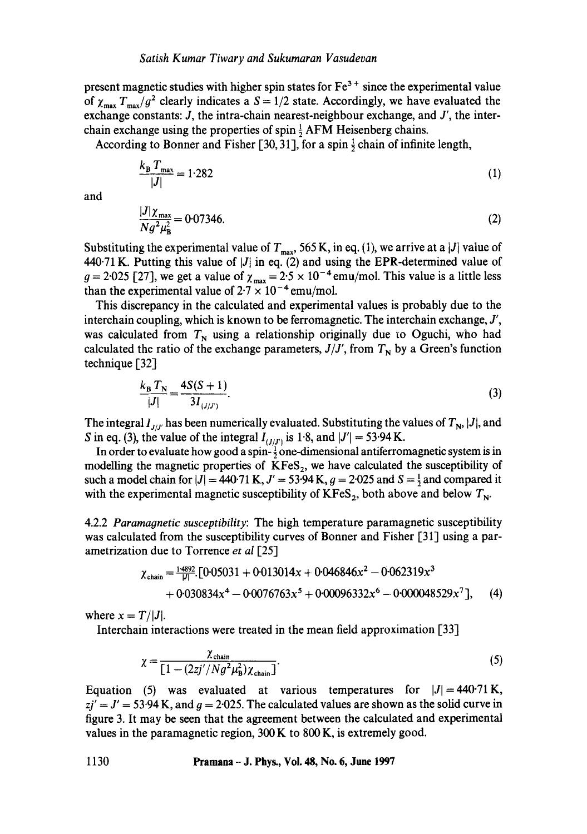present magnetic studies with higher spin states for  $Fe<sup>3+</sup>$  since the experimental value of  $\chi_{\text{max}} T_{\text{max}}/g^2$  clearly indicates a  $S = 1/2$  state. Accordingly, we have evaluated the exchange constants: J, the intra-chain nearest-neighbour exchange, and J', the interchain exchange using the properties of spin  $\frac{1}{2}$  AFM Heisenberg chains.

According to Bonner and Fisher [30, 31], for a spin  $\frac{1}{2}$  chain of infinite length,

$$
\frac{k_{\rm B}T_{\rm max}}{|J|} = 1.282\tag{1}
$$

and

$$
\frac{|J|\chi_{\text{max}}}{Ng^2\mu_{\text{B}}^2} = 0.07346. \tag{2}
$$

Substituting the experimental value of  $T_{\text{max}}$ , 565 K, in eq. (1), we arrive at a |J| value of 440.71 K. Putting this value of  $|J|$  in eq. (2) and using the EPR-determined value of  $g = 2.025$  [27], we get a value of  $\chi_{\text{max}} = 2.5 \times 10^{-4}$  emu/mol. This value is a little less than the experimental value of  $2.7 \times 10^{-4}$  emu/mol.

This discrepancy in the calculated and experimental values is probably due to the interchain coupling, which is known to be ferromagnetic. The interchain exchange, *J',*  was calculated from  $T_N$  using a relationship originally due to Oguchi, who had calculated the ratio of the exchange parameters,  $J/J'$ , from  $T_N$  by a Green's function technique [32]

$$
\frac{k_{\rm B} T_{\rm N}}{|J|} = \frac{4S(S+1)}{3I_{(J/J')}}.
$$
\n(3)

The integral  $I_{J/J'}$  has been numerically evaluated. Substituting the values of  $T_{\rm N}$ , |J|, and S in eq. (3), the value of the integral  $I_{(J/J')}$  is 1.8, and  $|J'| = 53.94$  K.

In order to evaluate how good a spin- $\frac{1}{2}$  one-dimensional antiferromagnetic system is in modelling the magnetic properties of  $KFes_2$ , we have calculated the susceptibility of such a model chain for  $|J| = 440.71$  K,  $J' = 53.94$  K,  $g = 2.025$  and  $S = \frac{1}{2}$  and compared it with the experimental magnetic susceptibility of  $KFeS_2$ , both above and below  $T_N$ .

4.2.2 *Paramagnetic susceptibility:* The high temperature paramagnetic susceptibility was calculated from the susceptibility curves of Bonner and Fisher [31] using a parametrization due to Torrence *et al* [25]

$$
\chi_{\text{chain}} = \frac{14892}{|J|} \cdot [0.05031 + 0.013014x + 0.046846x^2 - 0.062319x^3 + 0.030834x^4 - 0.0076763x^5 + 0.00096332x^6 - 0.000048529x^7], \quad (4)
$$

where  $x = T/|J|$ .

Interchain interactions were treated in the mean field approximation [33]

$$
\chi = \frac{\chi_{\text{chain}}}{\left[1 - \left(\frac{2zj'}{Ng^2\mu_B^2}\right)\chi_{\text{chain}}\right]}.
$$
 (5)

Equation (5) was evaluated at various temperatures for  $|J| = 440.71$  K,  $zj' = J' = 53.94$  K, and  $g = 2.025$ . The calculated values are shown as the solid curve in figure 3. It may be seen that the agreement between the calculated and experimental values in the paramagnetic region, 300 K to 800 K, is extremely good.

**1130 Pramana- J. Phys., Vol. 48, No. 6, June 1997**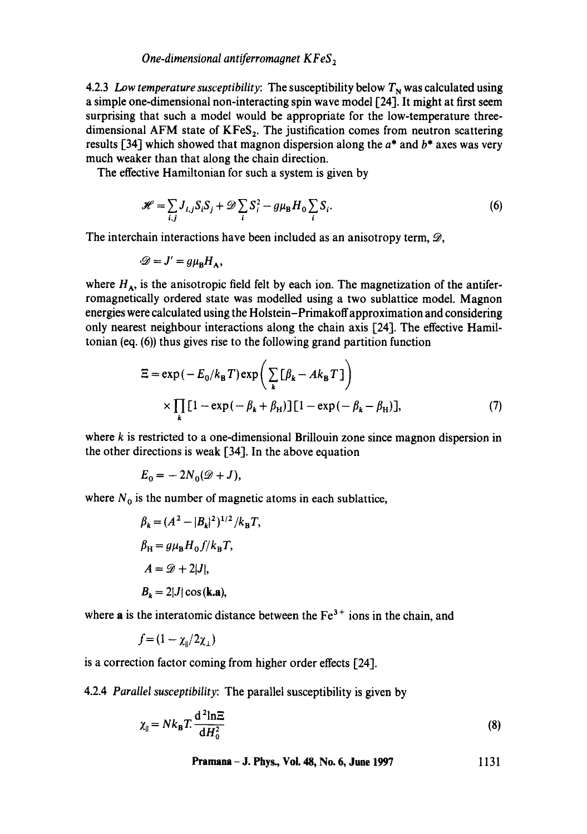*One-dimensional antiferromagnet KFeS<sub>2</sub>* 

4.2.3 *Low temperature susceptibility:* The susceptibility below  $T<sub>N</sub>$  was calculated using a simple one-dimensional non-interacting spin wave model [24]. It might at first seem surprising that such a model would be appropriate for the low-temperature threedimensional AFM state of  $KFeS<sub>2</sub>$ . The justification comes from neutron scattering results [34] which showed that magnon dispersion along the  $a^*$  and  $b^*$  axes was very much weaker than that along the chain direction.

The effective Hamiltonian for such a system is given by

$$
\mathcal{H} = \sum_{i,j} J_{i,j} S_i S_j + \mathcal{D} \sum_i S_i^2 - g \mu_B H_0 \sum_i S_i.
$$
 (6)

The interchain interactions have been included as an anisotropy term,  $\mathcal{D}$ ,

$$
\mathscr{D} = J' = g\mu_B H_A,
$$

where  $H_A$ , is the anisotropic field felt by each ion. The magnetization of the antiferromagnetically ordered state was modelled using a two sublattice model. Magnon energies were calculated using the Holstein-Primakoffapproximation and considering only nearest neighbour interactions along the chain axis [24]. The effective Hamiltonian (eq. (6)) thus gives rise to the following grand partition function

$$
\Xi = \exp(-E_0/k_\text{B}T)\exp\left(\sum_k [\beta_k - Ak_\text{B}T]\right)
$$
  
 
$$
\times \prod_k [1 - \exp(-\beta_k + \beta_H)] [1 - \exp(-\beta_k - \beta_H)], \tag{7}
$$

where  $k$  is restricted to a one-dimensional Brillouin zone since magnon dispersion in the other directions is weak [34]. In the above equation

 $E_0 = -2N_0(\mathscr{D}+J),$ 

where  $N_0$  is the number of magnetic atoms in each sublattice,

$$
\beta_k = (A^2 - |B_k|^2)^{1/2} / k_B T,
$$
  
\n
$$
\beta_H = g\mu_B H_0 f / k_B T,
$$
  
\n
$$
A = \mathcal{D} + 2|J|,
$$
  
\n
$$
B_k = 2|J| \cos(k \cdot a),
$$

where a is the interatomic distance between the  $Fe<sup>3+</sup>$  ions in the chain, and

$$
f = (1 - \chi_{\parallel}/2\chi_{\perp})
$$

is a correction factor coming from higher order effects [24].

4.2.4 *Parallel susceptibility:* The parallel susceptibility is given by

$$
\chi_{\parallel} = N k_{\mathrm{B}} T \frac{\mathrm{d}^2 \mathrm{ln} \Xi}{\mathrm{d} H_0^2} \tag{8}
$$

**Pramana – J. Phys., Vol. 48, No. 6, June 1997** 1131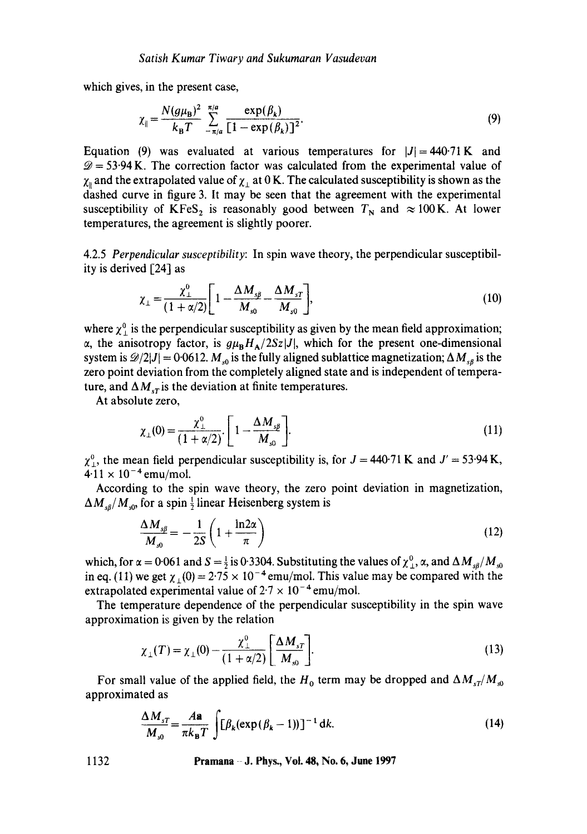which gives, in the present case,

$$
\chi_{\parallel} = \frac{N(g\mu_{\rm B})^2}{k_{\rm B}T} \sum_{-\pi/a}^{\pi/a} \frac{\exp(\beta_k)}{[1 - \exp(\beta_k)]^2}.
$$
 (9)

Equation (9) was evaluated at various temperatures for  $|J|=440.71$  K and  $\mathcal{D} = 53.94$  K. The correction factor was calculated from the experimental value of  $\chi_{\parallel}$  and the extrapolated value of  $\chi_{\perp}$  at 0 K. The calculated susceptibility is shown as the dashed curve in figure 3. It may be seen that the agreement with the experimental susceptibility of KFeS<sub>2</sub> is reasonably good between  $T_N$  and  $\approx 100$  K. At lower temperatures, the agreement is slightly poorer.

4.2.5 *Perpendicular susceptibility:* In spin wave theory, the perpendicular susceptibility is derived [24] as

$$
\chi_{\perp} = \frac{\chi_{\perp}^{0}}{(1 + \alpha/2)} \left[ 1 - \frac{\Delta M_{s\beta}}{M_{s0}} - \frac{\Delta M_{sT}}{M_{s0}} \right],
$$
\n(10)

where  $\chi^0$  is the perpendicular susceptibility as given by the mean field approximation;  $\alpha$ , the anisotropy factor, is  $g\mu_B H_A/2Sz|J|$ , which for the present one-dimensional system is  $\mathscr{D}/2|J| = 0.0612$ .  $M_{s0}$  is the fully aligned sublattice magnetization;  $\Delta M_{s0}$  is the zero point deviation from the completely aligned state and is independent of temperature, and  $\Delta M_{sT}$  is the deviation at finite temperatures.

At absolute zero,

$$
\chi_{\perp}(0) = \frac{\chi_{\perp}^{0}}{(1 + \alpha/2)} \left[1 - \frac{\Delta M_{s\beta}}{M_{s0}}\right].
$$
\n(11)

 $\chi^0$ , the mean field perpendicular susceptibility is, for  $J = 440.71$  K and  $J' = 53.94$  K,  $4.11 \times 10^{-4}$  emu/mol.

According to the spin wave theory, the zero point deviation in magnetization,  $\Delta M_{\rm s0} / M_{\rm s0}$ , for a spin  $\frac{1}{2}$  linear Heisenberg system is

$$
\frac{\Delta M_{s\beta}}{M_{s0}} = -\frac{1}{2S} \left( 1 + \frac{\ln 2\alpha}{\pi} \right) \tag{12}
$$

which, for  $\alpha = 0.061$  and  $S = \frac{1}{2}$  is 0.3304. Substituting the values of  $\chi^0$ ,  $\alpha$ , and  $\Delta M_{sd}/M_{sd}$ in eq. (11) we get  $\chi_1(0) = 2.75 \times 10^{-4}$  emu/mol. This value may be compared with the extrapolated experimental value of  $2.7 \times 10^{-4}$  emu/mol.

The temperature dependence of the perpendicular susceptibility in the spin wave approximation is given by the relation

$$
\chi_{\perp}(T) = \chi_{\perp}(0) - \frac{\chi_{\perp}^{0}}{(1 + \alpha/2)} \left[ \frac{\Delta M_{sT}}{M_{s0}} \right].
$$
 (13)

For small value of the applied field, the H<sub>0</sub> term may be dropped and  $\Delta M_{sT}/M_{s0}$ approximated as

$$
\frac{\Delta M_{sT}}{M_{s0}} = \frac{A\mathbf{a}}{\pi k_{\mathbf{B}}T} \int [\beta_k(\exp(\beta_k - 1))]^{-1} dk.
$$
 (14)

**1132 Pramana J. Phys., Vol. 48, No. 6, June 1997**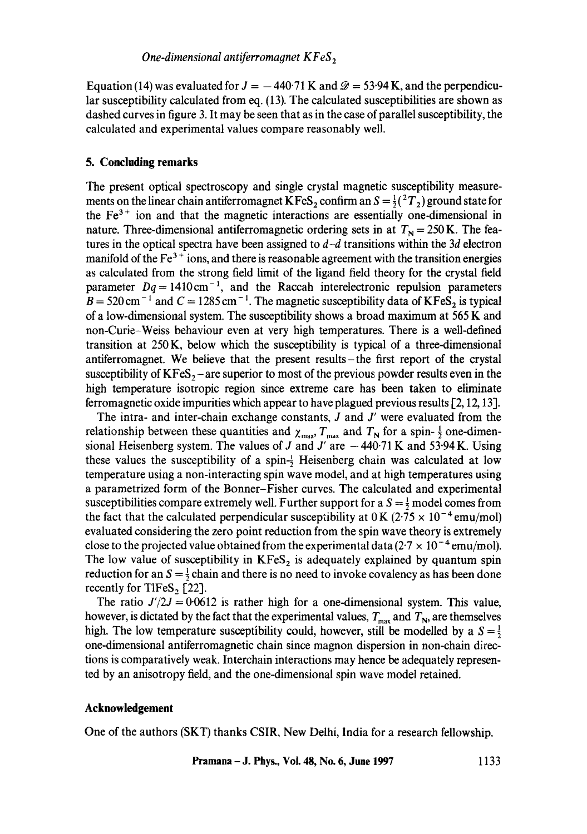Equation (14) was evaluated for  $J = -440.71$  K and  $\mathcal{D} = 53.94$  K, and the perpendicular susceptibility calculated from eq. (13). The calculated susceptibilities are shown as dashed curves in figure 3. It may be seen that as in the case of parallel susceptibility, the calculated and experimental values compare reasonably well.

# **5. Concluding remarks**

The present optical spectroscopy and single crystal magnetic susceptibility measurements on the linear chain antiferromagnet KFeS<sub>2</sub> confirm an  $S = \frac{1}{2} ({}^{2}T_{2})$  ground state for the  $Fe<sup>3+</sup>$  ion and that the magnetic interactions are essentially one-dimensional in nature. Three-dimensional antiferromagnetic ordering sets in at  $T<sub>N</sub> = 250$  K. The features in the optical spectra have been assigned to *d-d* transitions within the 3d electron manifold of the  $Fe<sup>3+</sup>$  ions, and there is reasonable agreement with the transition energies as calculated from the strong field limit of the ligand field theory for the crystal field parameter  $Dq = 1410 \text{ cm}^{-1}$ , and the Raccah interelectronic repulsion parameters  $B = 520 \text{ cm}^{-1}$  and  $C = 1285 \text{ cm}^{-1}$ . The magnetic susceptibility data of KFeS<sub>2</sub> is typical of a low-dimensional system. The susceptibility shows a broad maximum at 565 K and non-Curie-Weiss behaviour even at very high temperatures. There is a well-defined transition at 250 K, below which the susceptibility is typical of a three-dimensional antiferromagnet. We believe that the present results-the first report of the crystal susceptibility of  $KFES<sub>2</sub>$  – are superior to most of the previous powder results even in the high temperature isotropic region since extreme care has been taken to eliminate ferromagnetic oxide impurities which appear to have plagued previous results [2, 12, 13].

The intra- and inter-chain exchange constants,  $J$  and  $J'$  were evaluated from the relationship between these quantities and  $\chi_{\text{max}}$ ,  $T_{\text{max}}$  and  $T_{\text{N}}$  for a spin-  $\frac{1}{2}$  one-dimensional Heisenberg system. The values of J and J' are  $-440.71$  K and 53.94 K. Using these values the susceptibility of a spin- $\frac{1}{2}$  Heisenberg chain was calculated at low temperature using a non-interacting spin wave model, and at high temperatures using a parametrized form of the Bonner-Fisher curves. The calculated and experimental susceptibilities compare extremely well. Further support for a  $S = \frac{1}{2}$  model comes from the fact that the calculated perpendicular susceptibility at  $0 \text{ K}$  (2.75  $\times$  10<sup>-4</sup> emu/mol) evaluated considering the zero point reduction from the spin wave theory is extremely close to the projected value obtained from the experimental data  $(2.7 \times 10^{-4} \text{ emu/mol})$ . The low value of susceptibility in  $KFes_2$  is adequately explained by quantum spin reduction for an  $S = \frac{1}{2}$  chain and there is no need to invoke covalency as has been done recently for TlFeS<sub>2</sub> [22].

The ratio  $J'/2J = 0.0612$  is rather high for a one-dimensional system. This value, however, is dictated by the fact that the experimental values,  $T_{\text{max}}$  and  $T_{\text{N}}$ , are themselves high. The low temperature susceptibility could, however, still be modelled by a  $S = \frac{1}{2}$ one-dimensional antiferromagnetic chain since magnon dispersion in non-chain directions is comparatively weak. Interchain interactions may hence be adequately represented by an anisotropy field, and the one-dimensional spin wave model retained.

#### **Acknowledgement**

One of the authors (SKT) thanks CSIR, New Delhi, India for a research fellowship.